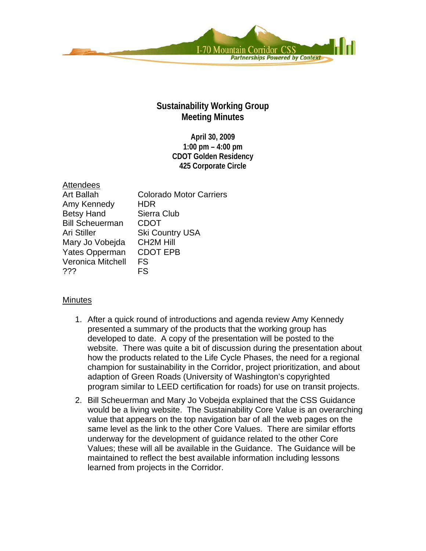

## **Sustainability Working Group Meeting Minutes**

**April 30, 2009 1:00 pm – 4:00 pm CDOT Golden Residency 425 Corporate Circle** 

| <b>Attendees</b>         |                                |
|--------------------------|--------------------------------|
| <b>Art Ballah</b>        | <b>Colorado Motor Carriers</b> |
| Amy Kennedy              | HDR                            |
| <b>Betsy Hand</b>        | Sierra Club                    |
| <b>Bill Scheuerman</b>   | <b>CDOT</b>                    |
| Ari Stiller              | <b>Ski Country USA</b>         |
| Mary Jo Vobejda          | <b>CH2M Hill</b>               |
| Yates Opperman           | <b>CDOT EPB</b>                |
| <b>Veronica Mitchell</b> | FS                             |
| ???                      | FS                             |

## **Minutes**

- 1. After a quick round of introductions and agenda review Amy Kennedy presented a summary of the products that the working group has developed to date. A copy of the presentation will be posted to the website. There was quite a bit of discussion during the presentation about how the products related to the Life Cycle Phases, the need for a regional champion for sustainability in the Corridor, project prioritization, and about adaption of Green Roads (University of Washington's copyrighted program similar to LEED certification for roads) for use on transit projects.
- 2. Bill Scheuerman and Mary Jo Vobejda explained that the CSS Guidance would be a living website. The Sustainability Core Value is an overarching value that appears on the top navigation bar of all the web pages on the same level as the link to the other Core Values. There are similar efforts underway for the development of guidance related to the other Core Values; these will all be available in the Guidance. The Guidance will be maintained to reflect the best available information including lessons learned from projects in the Corridor.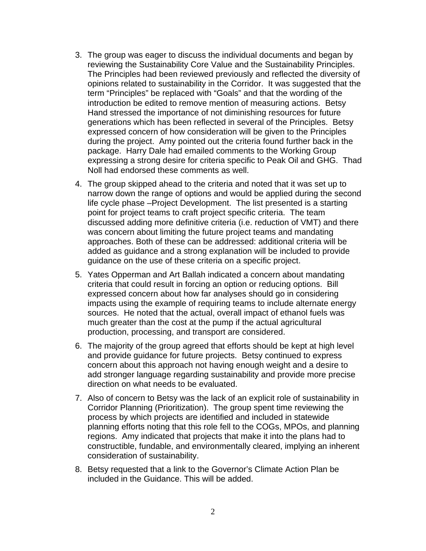- 3. The group was eager to discuss the individual documents and began by reviewing the Sustainability Core Value and the Sustainability Principles. The Principles had been reviewed previously and reflected the diversity of opinions related to sustainability in the Corridor. It was suggested that the term "Principles" be replaced with "Goals" and that the wording of the introduction be edited to remove mention of measuring actions. Betsy Hand stressed the importance of not diminishing resources for future generations which has been reflected in several of the Principles. Betsy expressed concern of how consideration will be given to the Principles during the project. Amy pointed out the criteria found further back in the package. Harry Dale had emailed comments to the Working Group expressing a strong desire for criteria specific to Peak Oil and GHG. Thad Noll had endorsed these comments as well.
- 4. The group skipped ahead to the criteria and noted that it was set up to narrow down the range of options and would be applied during the second life cycle phase –Project Development. The list presented is a starting point for project teams to craft project specific criteria. The team discussed adding more definitive criteria (i.e. reduction of VMT) and there was concern about limiting the future project teams and mandating approaches. Both of these can be addressed: additional criteria will be added as guidance and a strong explanation will be included to provide guidance on the use of these criteria on a specific project.
- 5. Yates Opperman and Art Ballah indicated a concern about mandating criteria that could result in forcing an option or reducing options. Bill expressed concern about how far analyses should go in considering impacts using the example of requiring teams to include alternate energy sources. He noted that the actual, overall impact of ethanol fuels was much greater than the cost at the pump if the actual agricultural production, processing, and transport are considered.
- 6. The majority of the group agreed that efforts should be kept at high level and provide guidance for future projects. Betsy continued to express concern about this approach not having enough weight and a desire to add stronger language regarding sustainability and provide more precise direction on what needs to be evaluated.
- 7. Also of concern to Betsy was the lack of an explicit role of sustainability in Corridor Planning (Prioritization). The group spent time reviewing the process by which projects are identified and included in statewide planning efforts noting that this role fell to the COGs, MPOs, and planning regions. Amy indicated that projects that make it into the plans had to constructible, fundable, and environmentally cleared, implying an inherent consideration of sustainability.
- 8. Betsy requested that a link to the Governor's Climate Action Plan be included in the Guidance. This will be added.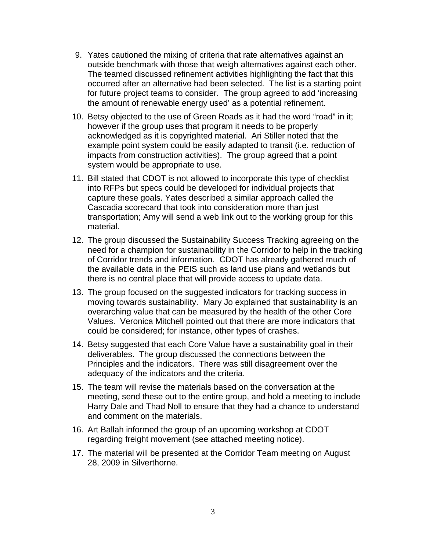- 9. Yates cautioned the mixing of criteria that rate alternatives against an outside benchmark with those that weigh alternatives against each other. The teamed discussed refinement activities highlighting the fact that this occurred after an alternative had been selected. The list is a starting point for future project teams to consider. The group agreed to add 'increasing the amount of renewable energy used' as a potential refinement.
- 10. Betsy objected to the use of Green Roads as it had the word "road" in it; however if the group uses that program it needs to be properly acknowledged as it is copyrighted material. Ari Stiller noted that the example point system could be easily adapted to transit (i.e. reduction of impacts from construction activities). The group agreed that a point system would be appropriate to use.
- 11. Bill stated that CDOT is not allowed to incorporate this type of checklist into RFPs but specs could be developed for individual projects that capture these goals. Yates described a similar approach called the Cascadia scorecard that took into consideration more than just transportation; Amy will send a web link out to the working group for this material.
- 12. The group discussed the Sustainability Success Tracking agreeing on the need for a champion for sustainability in the Corridor to help in the tracking of Corridor trends and information. CDOT has already gathered much of the available data in the PEIS such as land use plans and wetlands but there is no central place that will provide access to update data.
- 13. The group focused on the suggested indicators for tracking success in moving towards sustainability. Mary Jo explained that sustainability is an overarching value that can be measured by the health of the other Core Values. Veronica Mitchell pointed out that there are more indicators that could be considered; for instance, other types of crashes.
- 14. Betsy suggested that each Core Value have a sustainability goal in their deliverables. The group discussed the connections between the Principles and the indicators. There was still disagreement over the adequacy of the indicators and the criteria.
- 15. The team will revise the materials based on the conversation at the meeting, send these out to the entire group, and hold a meeting to include Harry Dale and Thad Noll to ensure that they had a chance to understand and comment on the materials.
- 16. Art Ballah informed the group of an upcoming workshop at CDOT regarding freight movement (see attached meeting notice).
- 17. The material will be presented at the Corridor Team meeting on August 28, 2009 in Silverthorne.